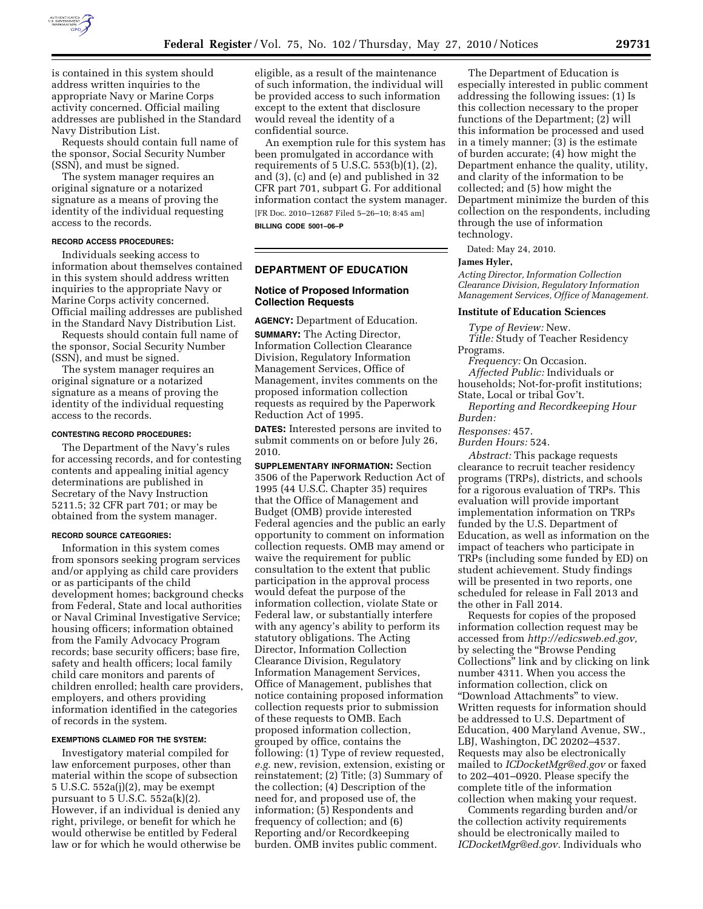

is contained in this system should address written inquiries to the appropriate Navy or Marine Corps activity concerned. Official mailing addresses are published in the Standard Navy Distribution List.

Requests should contain full name of the sponsor, Social Security Number (SSN), and must be signed.

The system manager requires an original signature or a notarized signature as a means of proving the identity of the individual requesting access to the records.

### **RECORD ACCESS PROCEDURES:**

Individuals seeking access to information about themselves contained in this system should address written inquiries to the appropriate Navy or Marine Corps activity concerned. Official mailing addresses are published in the Standard Navy Distribution List.

Requests should contain full name of the sponsor, Social Security Number (SSN), and must be signed.

The system manager requires an original signature or a notarized signature as a means of proving the identity of the individual requesting access to the records.

### **CONTESTING RECORD PROCEDURES:**

The Department of the Navy's rules for accessing records, and for contesting contents and appealing initial agency determinations are published in Secretary of the Navy Instruction 5211.5; 32 CFR part 701; or may be obtained from the system manager.

#### **RECORD SOURCE CATEGORIES:**

Information in this system comes from sponsors seeking program services and/or applying as child care providers or as participants of the child development homes; background checks from Federal, State and local authorities or Naval Criminal Investigative Service; housing officers; information obtained from the Family Advocacy Program records; base security officers; base fire, safety and health officers; local family child care monitors and parents of children enrolled; health care providers, employers, and others providing information identified in the categories of records in the system.

## **EXEMPTIONS CLAIMED FOR THE SYSTEM:**

Investigatory material compiled for law enforcement purposes, other than material within the scope of subsection 5 U.S.C. 552a(j)(2), may be exempt pursuant to  $5 \text{ U.S.C. } 552a(k)(2)$ . However, if an individual is denied any right, privilege, or benefit for which he would otherwise be entitled by Federal law or for which he would otherwise be eligible, as a result of the maintenance of such information, the individual will be provided access to such information except to the extent that disclosure would reveal the identity of a confidential source.

An exemption rule for this system has been promulgated in accordance with requirements of 5 U.S.C. 553(b)(1), (2), and (3), (c) and (e) and published in 32 CFR part 701, subpart G. For additional information contact the system manager. [FR Doc. 2010–12687 Filed 5–26–10; 8:45 am]

**BILLING CODE 5001–06–P** 

## **DEPARTMENT OF EDUCATION**

### **Notice of Proposed Information Collection Requests**

**AGENCY:** Department of Education.

**SUMMARY:** The Acting Director, Information Collection Clearance Division, Regulatory Information Management Services, Office of Management, invites comments on the proposed information collection requests as required by the Paperwork Reduction Act of 1995.

**DATES:** Interested persons are invited to submit comments on or before July 26, 2010.

**SUPPLEMENTARY INFORMATION:** Section 3506 of the Paperwork Reduction Act of 1995 (44 U.S.C. Chapter 35) requires that the Office of Management and Budget (OMB) provide interested Federal agencies and the public an early opportunity to comment on information collection requests. OMB may amend or waive the requirement for public consultation to the extent that public participation in the approval process would defeat the purpose of the information collection, violate State or Federal law, or substantially interfere with any agency's ability to perform its statutory obligations. The Acting Director, Information Collection Clearance Division, Regulatory Information Management Services, Office of Management, publishes that notice containing proposed information collection requests prior to submission of these requests to OMB. Each proposed information collection, grouped by office, contains the following: (1) Type of review requested, *e.g.* new, revision, extension, existing or reinstatement; (2) Title; (3) Summary of the collection; (4) Description of the need for, and proposed use of, the information; (5) Respondents and frequency of collection; and (6) Reporting and/or Recordkeeping burden. OMB invites public comment.

The Department of Education is especially interested in public comment addressing the following issues: (1) Is this collection necessary to the proper functions of the Department; (2) will this information be processed and used in a timely manner; (3) is the estimate of burden accurate; (4) how might the Department enhance the quality, utility, and clarity of the information to be collected; and (5) how might the Department minimize the burden of this collection on the respondents, including through the use of information technology.

Dated: May 24, 2010.

## **James Hyler,**

*Acting Director, Information Collection Clearance Division, Regulatory Information Management Services, Office of Management.* 

### **Institute of Education Sciences**

*Type of Review:* New. *Title:* Study of Teacher Residency Programs.

*Frequency:* On Occasion. *Affected Public:* Individuals or households; Not-for-profit institutions;

State, Local or tribal Gov't. *Reporting and Recordkeeping Hour Burden:* 

# *Responses:* 457.

*Burden Hours:* 524.

*Abstract:* This package requests clearance to recruit teacher residency programs (TRPs), districts, and schools for a rigorous evaluation of TRPs. This evaluation will provide important implementation information on TRPs funded by the U.S. Department of Education, as well as information on the impact of teachers who participate in TRPs (including some funded by ED) on student achievement. Study findings will be presented in two reports, one scheduled for release in Fall 2013 and the other in Fall 2014.

Requests for copies of the proposed information collection request may be accessed from *http://edicsweb.ed.gov,*  by selecting the ''Browse Pending Collections'' link and by clicking on link number 4311. When you access the information collection, click on ''Download Attachments'' to view. Written requests for information should be addressed to U.S. Department of Education, 400 Maryland Avenue, SW., LBJ, Washington, DC 20202–4537. Requests may also be electronically mailed to *ICDocketMgr@ed.gov* or faxed to 202–401–0920. Please specify the complete title of the information collection when making your request.

Comments regarding burden and/or the collection activity requirements should be electronically mailed to *ICDocketMgr@ed.gov.* Individuals who